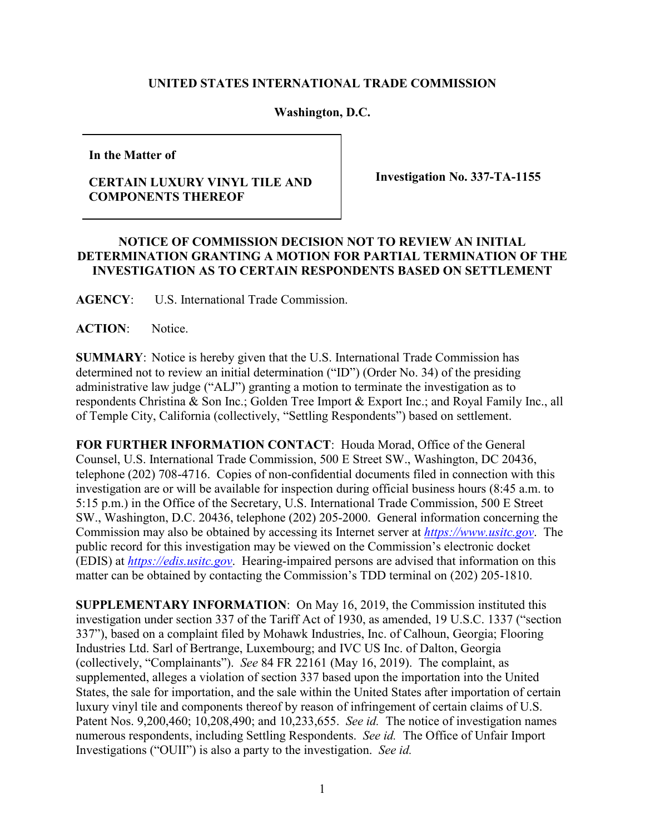## **UNITED STATES INTERNATIONAL TRADE COMMISSION**

## **Washington, D.C.**

**In the Matter of**

## **CERTAIN LUXURY VINYL TILE AND COMPONENTS THEREOF**

**Investigation No. 337-TA-1155**

## **NOTICE OF COMMISSION DECISION NOT TO REVIEW AN INITIAL DETERMINATION GRANTING A MOTION FOR PARTIAL TERMINATION OF THE INVESTIGATION AS TO CERTAIN RESPONDENTS BASED ON SETTLEMENT**

**AGENCY**: U.S. International Trade Commission.

ACTION: Notice.

**SUMMARY**: Notice is hereby given that the U.S. International Trade Commission has determined not to review an initial determination ("ID") (Order No. 34) of the presiding administrative law judge ("ALJ") granting a motion to terminate the investigation as to respondents Christina & Son Inc.; Golden Tree Import & Export Inc.; and Royal Family Inc., all of Temple City, California (collectively, "Settling Respondents") based on settlement.

**FOR FURTHER INFORMATION CONTACT**: Houda Morad, Office of the General Counsel, U.S. International Trade Commission, 500 E Street SW., Washington, DC 20436, telephone (202) 708-4716. Copies of non-confidential documents filed in connection with this investigation are or will be available for inspection during official business hours (8:45 a.m. to 5:15 p.m.) in the Office of the Secretary, U.S. International Trade Commission, 500 E Street SW., Washington, D.C. 20436, telephone (202) 205-2000. General information concerning the Commission may also be obtained by accessing its Internet server at *[https://www.usitc.gov](https://www.usitc.gov/)*. The public record for this investigation may be viewed on the Commission's electronic docket (EDIS) at *[https://edis.usitc.gov](http://edis.usitc.gov/)*. Hearing-impaired persons are advised that information on this matter can be obtained by contacting the Commission's TDD terminal on (202) 205-1810.

**SUPPLEMENTARY INFORMATION**: On May 16, 2019, the Commission instituted this investigation under section 337 of the Tariff Act of 1930, as amended, 19 U.S.C. 1337 ("section 337"), based on a complaint filed by Mohawk Industries, Inc. of Calhoun, Georgia; Flooring Industries Ltd. Sarl of Bertrange, Luxembourg; and IVC US Inc. of Dalton, Georgia (collectively, "Complainants"). *See* 84 FR 22161 (May 16, 2019). The complaint, as supplemented, alleges a violation of section 337 based upon the importation into the United States, the sale for importation, and the sale within the United States after importation of certain luxury vinyl tile and components thereof by reason of infringement of certain claims of U.S. Patent Nos. 9,200,460; 10,208,490; and 10,233,655. *See id.* The notice of investigation names numerous respondents, including Settling Respondents. *See id.* The Office of Unfair Import Investigations ("OUII") is also a party to the investigation. *See id.*